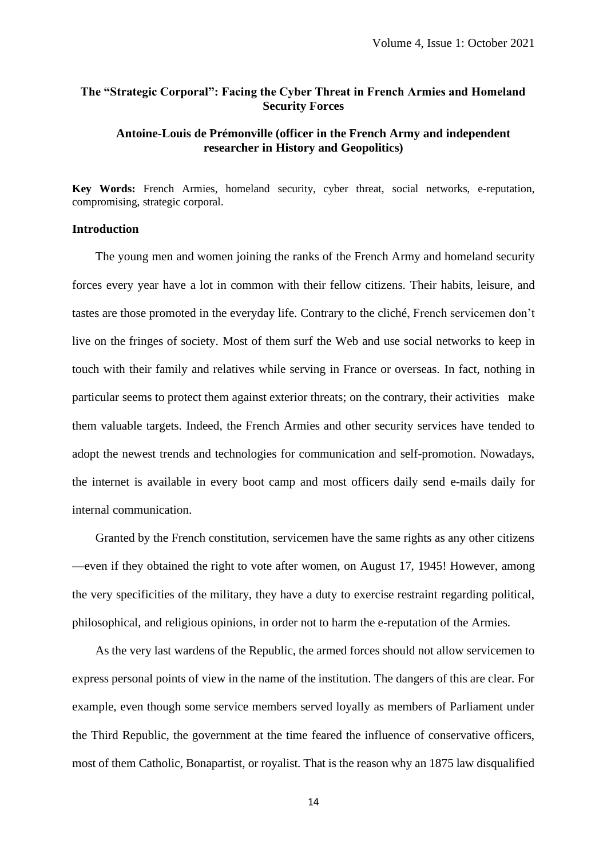# **The "Strategic Corporal": Facing the Cyber Threat in French Armies and Homeland Security Forces**

# **Antoine-Louis de Prémonville (officer in the French Army and independent researcher in History and Geopolitics)**

**Key Words:** French Armies, homeland security, cyber threat, social networks, e-reputation, compromising, strategic corporal.

## **Introduction**

The young men and women joining the ranks of the French Army and homeland security forces every year have a lot in common with their fellow citizens. Their habits, leisure, and tastes are those promoted in the everyday life. Contrary to the cliché, French servicemen don't live on the fringes of society. Most of them surf the Web and use social networks to keep in touch with their family and relatives while serving in France or overseas. In fact, nothing in particular seems to protect them against exterior threats; on the contrary, their activities make them valuable targets. Indeed, the French Armies and other security services have tended to adopt the newest trends and technologies for communication and self-promotion. Nowadays, the internet is available in every boot camp and most officers daily send e-mails daily for internal communication.

Granted by the French constitution, servicemen have the same rights as any other citizens —even if they obtained the right to vote after women, on August 17, 1945! However, among the very specificities of the military, they have a duty to exercise restraint regarding political, philosophical, and religious opinions, in order not to harm the e-reputation of the Armies.

As the very last wardens of the Republic, the armed forces should not allow servicemen to express personal points of view in the name of the institution. The dangers of this are clear. For example, even though some service members served loyally as members of Parliament under the Third Republic, the government at the time feared the influence of conservative officers, most of them Catholic, Bonapartist, or royalist. That is the reason why an 1875 law disqualified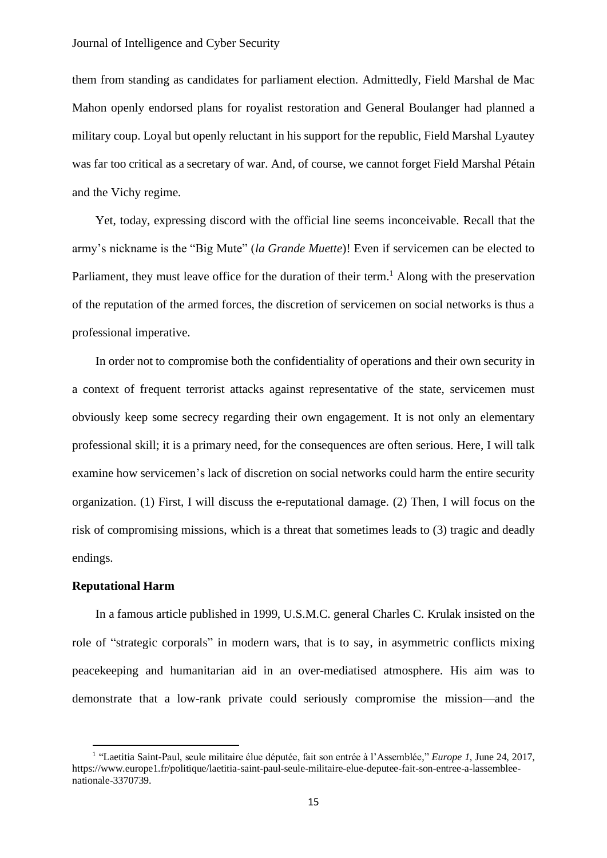### Journal of Intelligence and Cyber Security

them from standing as candidates for parliament election. Admittedly, Field Marshal de Mac Mahon openly endorsed plans for royalist restoration and General Boulanger had planned a military coup. Loyal but openly reluctant in his support for the republic, Field Marshal Lyautey was far too critical as a secretary of war. And, of course, we cannot forget Field Marshal Pétain and the Vichy regime.

Yet, today, expressing discord with the official line seems inconceivable. Recall that the army's nickname is the "Big Mute" (*la Grande Muette*)! Even if servicemen can be elected to Parliament, they must leave office for the duration of their term.<sup>1</sup> Along with the preservation of the reputation of the armed forces, the discretion of servicemen on social networks is thus a professional imperative.

In order not to compromise both the confidentiality of operations and their own security in a context of frequent terrorist attacks against representative of the state, servicemen must obviously keep some secrecy regarding their own engagement. It is not only an elementary professional skill; it is a primary need, for the consequences are often serious. Here, I will talk examine how servicemen's lack of discretion on social networks could harm the entire security organization. (1) First, I will discuss the e-reputational damage. (2) Then, I will focus on the risk of compromising missions, which is a threat that sometimes leads to (3) tragic and deadly endings.

## **Reputational Harm**

In a famous article published in 1999, U.S.M.C. general Charles C. Krulak insisted on the role of "strategic corporals" in modern wars, that is to say, in asymmetric conflicts mixing peacekeeping and humanitarian aid in an over-mediatised atmosphere. His aim was to demonstrate that a low-rank private could seriously compromise the mission—and the

<sup>&</sup>lt;sup>1</sup> "Laetitia Saint-Paul, seule militaire élue députée, fait son entrée à l'Assemblée," *Europe 1*, June 24, 2017, https://www.europe1.fr/politique/laetitia-saint-paul-seule-militaire-elue-deputee-fait-son-entree-a-lassembleenationale-3370739.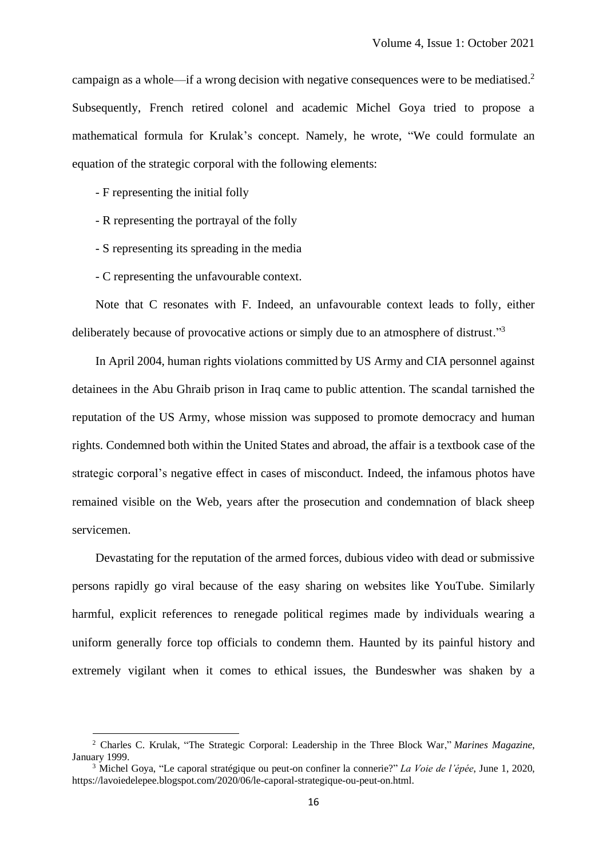campaign as a whole—if a wrong decision with negative consequences were to be mediatised. 2 Subsequently, French retired colonel and academic Michel Goya tried to propose a mathematical formula for Krulak's concept. Namely, he wrote, "We could formulate an equation of the strategic corporal with the following elements:

- F representing the initial folly
- R representing the portrayal of the folly
- S representing its spreading in the media
- C representing the unfavourable context.

Note that C resonates with F. Indeed, an unfavourable context leads to folly, either deliberately because of provocative actions or simply due to an atmosphere of distrust."<sup>3</sup>

In April 2004, human rights violations committed by US Army and CIA personnel against detainees in the Abu Ghraib prison in Iraq came to public attention. The scandal tarnished the reputation of the US Army, whose mission was supposed to promote democracy and human rights. Condemned both within the United States and abroad, the affair is a textbook case of the strategic corporal's negative effect in cases of misconduct. Indeed, the infamous photos have remained visible on the Web, years after the prosecution and condemnation of black sheep servicemen.

Devastating for the reputation of the armed forces, dubious video with dead or submissive persons rapidly go viral because of the easy sharing on websites like YouTube. Similarly harmful, explicit references to renegade political regimes made by individuals wearing a uniform generally force top officials to condemn them. Haunted by its painful history and extremely vigilant when it comes to ethical issues, the Bundeswher was shaken by a

<sup>2</sup> Charles C. Krulak, "The Strategic Corporal: Leadership in the Three Block War," *Marines Magazine*, January 1999.

<sup>3</sup> Michel Goya, "Le caporal stratégique ou peut-on confiner la connerie?" *La Voie de l'épée*, June 1, 2020, https://lavoiedelepee.blogspot.com/2020/06/le-caporal-strategique-ou-peut-on.html.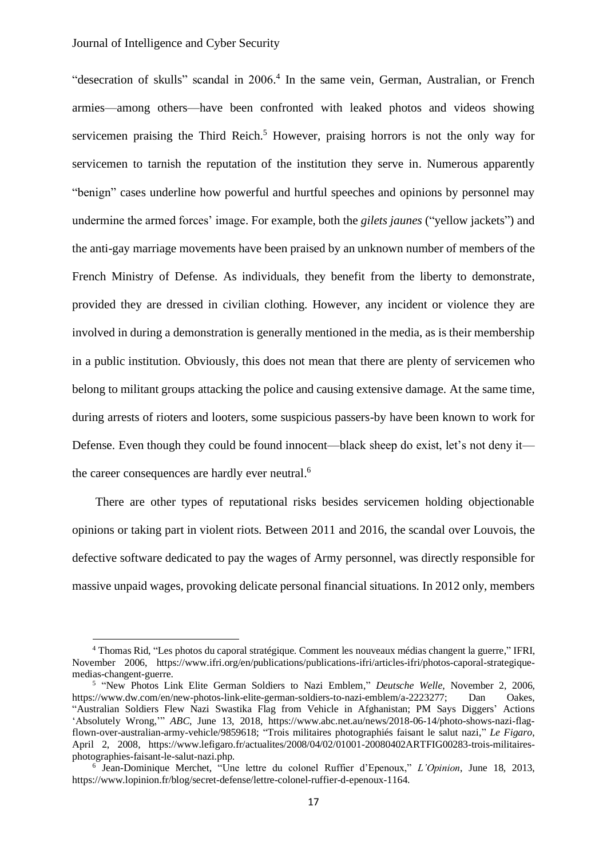## Journal of Intelligence and Cyber Security

"desecration of skulls" scandal in 2006. 4 In the same vein, German, Australian, or French armies—among others—have been confronted with leaked photos and videos showing servicemen praising the Third Reich.<sup>5</sup> However, praising horrors is not the only way for servicemen to tarnish the reputation of the institution they serve in. Numerous apparently "benign" cases underline how powerful and hurtful speeches and opinions by personnel may undermine the armed forces' image. For example, both the *gilets jaunes* ("yellow jackets") and the anti-gay marriage movements have been praised by an unknown number of members of the French Ministry of Defense. As individuals, they benefit from the liberty to demonstrate, provided they are dressed in civilian clothing. However, any incident or violence they are involved in during a demonstration is generally mentioned in the media, as is their membership in a public institution. Obviously, this does not mean that there are plenty of servicemen who belong to militant groups attacking the police and causing extensive damage. At the same time, during arrests of rioters and looters, some suspicious passers-by have been known to work for Defense. Even though they could be found innocent—black sheep do exist, let's not deny it the career consequences are hardly ever neutral.<sup>6</sup>

There are other types of reputational risks besides servicemen holding objectionable opinions or taking part in violent riots. Between 2011 and 2016, the scandal over Louvois, the defective software dedicated to pay the wages of Army personnel, was directly responsible for massive unpaid wages, provoking delicate personal financial situations. In 2012 only, members

<sup>4</sup> Thomas Rid, "Les photos du caporal stratégique. Comment les nouveaux médias changent la guerre," IFRI, November 2006, https://www.ifri.org/en/publications/publications-ifri/articles-ifri/photos-caporal-strategiquemedias-changent-guerre.

<sup>5</sup> "New Photos Link Elite German Soldiers to Nazi Emblem," *Deutsche Welle*, November 2, 2006, https://www.dw.com/en/new-photos-link-elite-german-soldiers-to-nazi-emblem/a-2223277; Dan Oakes, "Australian Soldiers Flew Nazi Swastika Flag from Vehicle in Afghanistan; PM Says Diggers' Actions 'Absolutely Wrong,'" *ABC*, June 13, 2018, https://www.abc.net.au/news/2018-06-14/photo-shows-nazi-flagflown-over-australian-army-vehicle/9859618; "Trois militaires photographiés faisant le salut nazi," *Le Figaro*, April 2, 2008, https://www.lefigaro.fr/actualites/2008/04/02/01001-20080402ARTFIG00283-trois-militairesphotographies-faisant-le-salut-nazi.php.

<sup>6</sup> Jean-Dominique Merchet, "Une lettre du colonel Ruffier d'Epenoux," *L'Opinion*, June 18, 2013, https://www.lopinion.fr/blog/secret-defense/lettre-colonel-ruffier-d-epenoux-1164.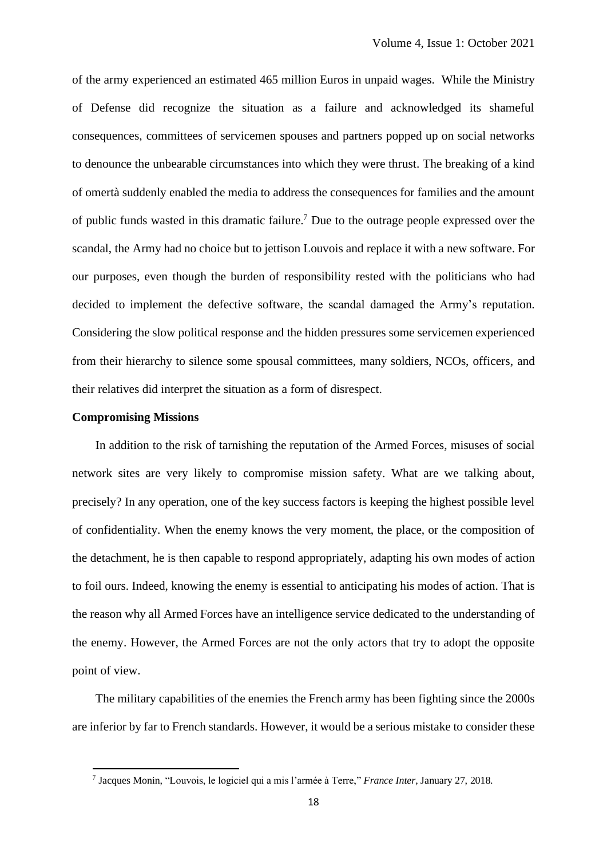of the army experienced an estimated 465 million Euros in unpaid wages. While the Ministry of Defense did recognize the situation as a failure and acknowledged its shameful consequences, committees of servicemen spouses and partners popped up on social networks to denounce the unbearable circumstances into which they were thrust. The breaking of a kind of omertà suddenly enabled the media to address the consequences for families and the amount of public funds wasted in this dramatic failure. <sup>7</sup> Due to the outrage people expressed over the scandal, the Army had no choice but to jettison Louvois and replace it with a new software. For our purposes, even though the burden of responsibility rested with the politicians who had decided to implement the defective software, the scandal damaged the Army's reputation. Considering the slow political response and the hidden pressures some servicemen experienced from their hierarchy to silence some spousal committees, many soldiers, NCOs, officers, and their relatives did interpret the situation as a form of disrespect.

#### **Compromising Missions**

In addition to the risk of tarnishing the reputation of the Armed Forces, misuses of social network sites are very likely to compromise mission safety. What are we talking about, precisely? In any operation, one of the key success factors is keeping the highest possible level of confidentiality. When the enemy knows the very moment, the place, or the composition of the detachment, he is then capable to respond appropriately, adapting his own modes of action to foil ours. Indeed, knowing the enemy is essential to anticipating his modes of action. That is the reason why all Armed Forces have an intelligence service dedicated to the understanding of the enemy. However, the Armed Forces are not the only actors that try to adopt the opposite point of view.

The military capabilities of the enemies the French army has been fighting since the 2000s are inferior by far to French standards. However, it would be a serious mistake to consider these

<sup>7</sup> Jacques Monin, "Louvois, le logiciel qui a mis l'armée à Terre," *France Inter*, January 27, 2018.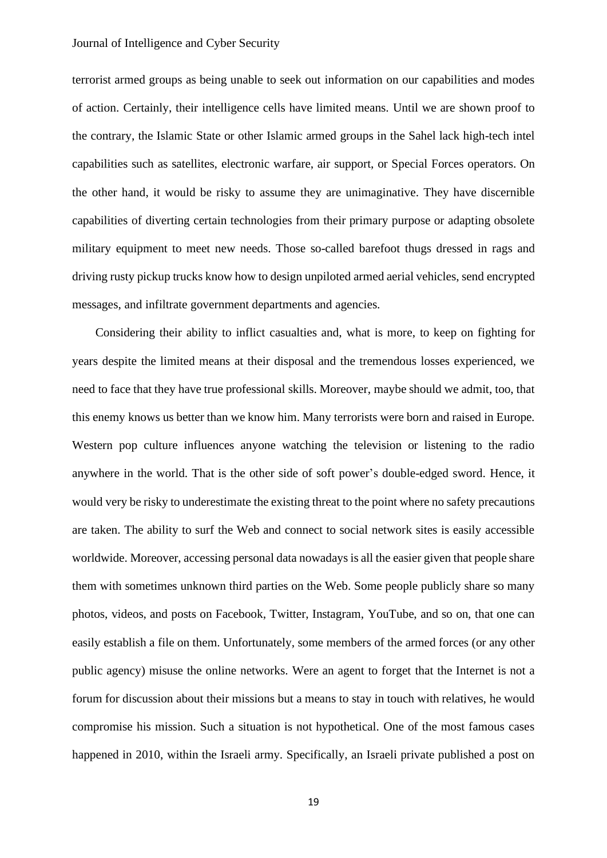## Journal of Intelligence and Cyber Security

terrorist armed groups as being unable to seek out information on our capabilities and modes of action. Certainly, their intelligence cells have limited means. Until we are shown proof to the contrary, the Islamic State or other Islamic armed groups in the Sahel lack high-tech intel capabilities such as satellites, electronic warfare, air support, or Special Forces operators. On the other hand, it would be risky to assume they are unimaginative. They have discernible capabilities of diverting certain technologies from their primary purpose or adapting obsolete military equipment to meet new needs. Those so-called barefoot thugs dressed in rags and driving rusty pickup trucks know how to design unpiloted armed aerial vehicles, send encrypted messages, and infiltrate government departments and agencies.

Considering their ability to inflict casualties and, what is more, to keep on fighting for years despite the limited means at their disposal and the tremendous losses experienced, we need to face that they have true professional skills. Moreover, maybe should we admit, too, that this enemy knows us better than we know him. Many terrorists were born and raised in Europe. Western pop culture influences anyone watching the television or listening to the radio anywhere in the world. That is the other side of soft power's double-edged sword. Hence, it would very be risky to underestimate the existing threat to the point where no safety precautions are taken. The ability to surf the Web and connect to social network sites is easily accessible worldwide. Moreover, accessing personal data nowadays is all the easier given that people share them with sometimes unknown third parties on the Web. Some people publicly share so many photos, videos, and posts on Facebook, Twitter, Instagram, YouTube, and so on, that one can easily establish a file on them. Unfortunately, some members of the armed forces (or any other public agency) misuse the online networks. Were an agent to forget that the Internet is not a forum for discussion about their missions but a means to stay in touch with relatives, he would compromise his mission. Such a situation is not hypothetical. One of the most famous cases happened in 2010, within the Israeli army. Specifically, an Israeli private published a post on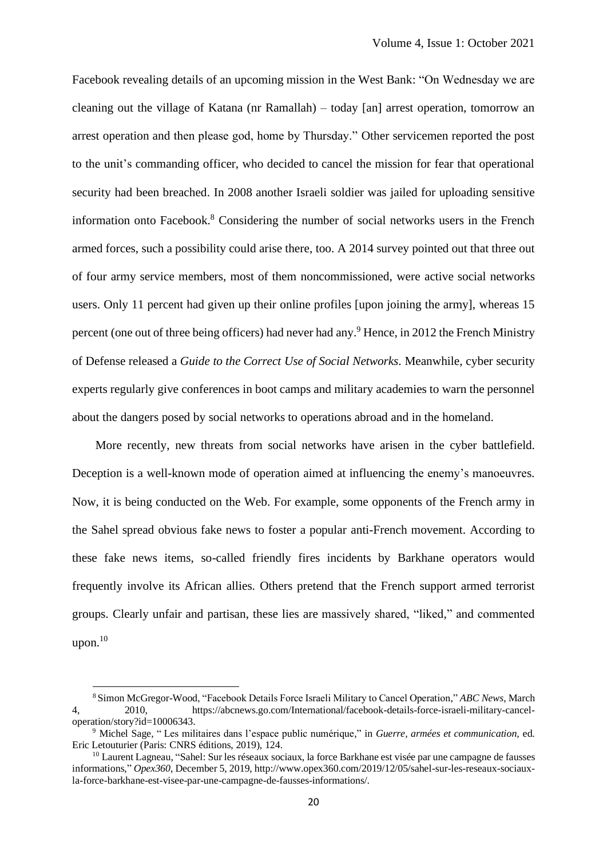Facebook revealing details of an upcoming mission in the West Bank: "On Wednesday we are cleaning out the village of Katana (nr Ramallah) – today [an] arrest operation, tomorrow an arrest operation and then please god, home by Thursday." Other servicemen reported the post to the unit's commanding officer, who decided to cancel the mission for fear that operational security had been breached. In 2008 another Israeli soldier was jailed for uploading sensitive information onto Facebook. <sup>8</sup> Considering the number of social networks users in the French armed forces, such a possibility could arise there, too. A 2014 survey pointed out that three out of four army service members, most of them noncommissioned, were active social networks users. Only 11 percent had given up their online profiles [upon joining the army], whereas 15 percent (one out of three being officers) had never had any.<sup>9</sup> Hence, in 2012 the French Ministry of Defense released a *Guide to the Correct Use of Social Networks*. Meanwhile, cyber security experts regularly give conferences in boot camps and military academies to warn the personnel about the dangers posed by social networks to operations abroad and in the homeland.

More recently, new threats from social networks have arisen in the cyber battlefield. Deception is a well-known mode of operation aimed at influencing the enemy's manoeuvres. Now, it is being conducted on the Web. For example, some opponents of the French army in the Sahel spread obvious fake news to foster a popular anti-French movement. According to these fake news items, so-called friendly fires incidents by Barkhane operators would frequently involve its African allies. Others pretend that the French support armed terrorist groups. Clearly unfair and partisan, these lies are massively shared, "liked," and commented upon. $10$ 

<sup>8</sup> Simon McGregor-Wood, "Facebook Details Force Israeli Military to Cancel Operation," *ABC News*, March 4, 2010, [https://abcnews.go.com/International/facebook-details-force-israeli-military-cancel](https://abcnews.go.com/International/facebook-details-force-israeli-military-cancel-operation/story?id=10006343)[operation/story?id=10006343.](https://abcnews.go.com/International/facebook-details-force-israeli-military-cancel-operation/story?id=10006343)

<sup>9</sup> Michel Sage, " Les militaires dans l'espace public numérique," in *Guerre, armées et communication*, ed. Eric Letouturier (Paris: CNRS éditions, 2019), 124.

<sup>&</sup>lt;sup>10</sup> Laurent Lagneau, "Sahel: Sur les réseaux sociaux, la force Barkhane est visée par une campagne de fausses informations," *Opex360*, December 5, 2019, http://www.opex360.com/2019/12/05/sahel-sur-les-reseaux-sociauxla-force-barkhane-est-visee-par-une-campagne-de-fausses-informations/.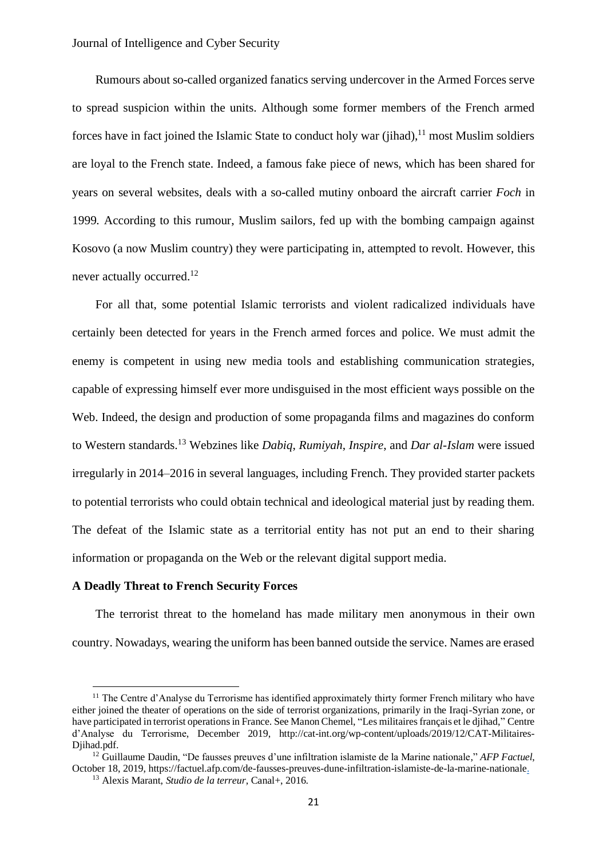Rumours about so-called organized fanatics serving undercover in the Armed Forces serve to spread suspicion within the units. Although some former members of the French armed forces have in fact joined the Islamic State to conduct holy war (jihad),<sup>11</sup> most Muslim soldiers are loyal to the French state. Indeed, a famous fake piece of news, which has been shared for years on several websites, deals with a so-called mutiny onboard the aircraft carrier *Foch* in 1999*.* According to this rumour, Muslim sailors, fed up with the bombing campaign against Kosovo (a now Muslim country) they were participating in, attempted to revolt. However, this never actually occurred.<sup>12</sup>

For all that, some potential Islamic terrorists and violent radicalized individuals have certainly been detected for years in the French armed forces and police. We must admit the enemy is competent in using new media tools and establishing communication strategies, capable of expressing himself ever more undisguised in the most efficient ways possible on the Web. Indeed, the design and production of some propaganda films and magazines do conform to Western standards. <sup>13</sup> Webzines like *Dabiq*, *Rumiyah*, *Inspire*, and *Dar al-Islam* were issued irregularly in 2014–2016 in several languages, including French. They provided starter packets to potential terrorists who could obtain technical and ideological material just by reading them. The defeat of the Islamic state as a territorial entity has not put an end to their sharing information or propaganda on the Web or the relevant digital support media.

#### **A Deadly Threat to French Security Forces**

The terrorist threat to the homeland has made military men anonymous in their own country. Nowadays, wearing the uniform has been banned outside the service. Names are erased

<sup>&</sup>lt;sup>11</sup> The Centre d'Analyse du Terrorisme has identified approximately thirty former French military who have either joined the theater of operations on the side of terrorist organizations, primarily in the Iraqi-Syrian zone, or have participated in terrorist operations in France. See Manon Chemel, "Les militaires français et le djihad," Centre d'Analyse du Terrorisme, December 2019, http://cat-int.org/wp-content/uploads/2019/12/CAT-Militaires-Diihad.pdf.

<sup>12</sup> Guillaume Daudin, "De fausses preuves d'une infiltration islamiste de la Marine nationale," *AFP Factuel*, October 18, 2019, https://factuel.afp.com/de-fausses-preuves-dune-infiltration-islamiste-de-la-marine-nationale.

<sup>13</sup> Alexis Marant, *Studio de la terreur*, Canal+, 2016.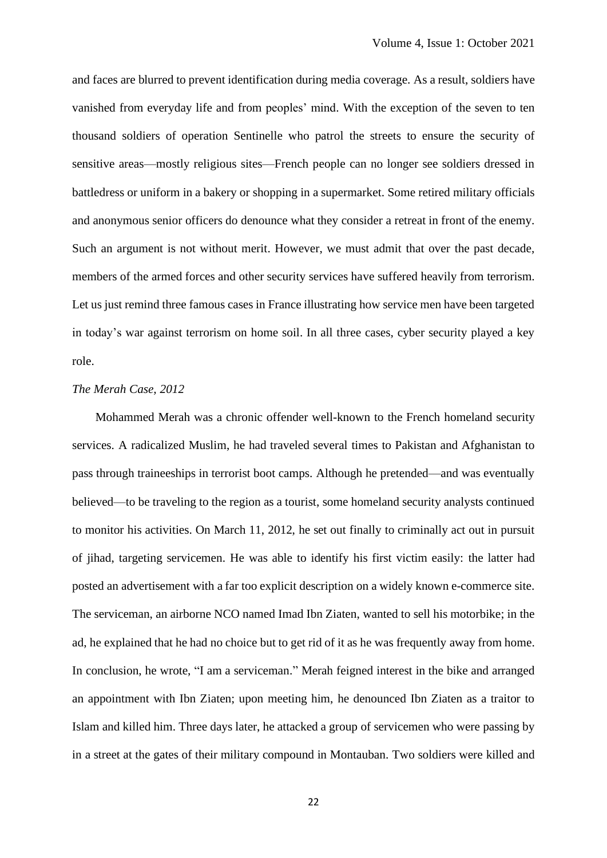and faces are blurred to prevent identification during media coverage. As a result, soldiers have vanished from everyday life and from peoples' mind. With the exception of the seven to ten thousand soldiers of operation Sentinelle who patrol the streets to ensure the security of sensitive areas—mostly religious sites—French people can no longer see soldiers dressed in battledress or uniform in a bakery or shopping in a supermarket. Some retired military officials and anonymous senior officers do denounce what they consider a retreat in front of the enemy. Such an argument is not without merit. However, we must admit that over the past decade, members of the armed forces and other security services have suffered heavily from terrorism. Let us just remind three famous cases in France illustrating how service men have been targeted in today's war against terrorism on home soil. In all three cases, cyber security played a key role.

#### *The Merah Case, 2012*

Mohammed Merah was a chronic offender well-known to the French homeland security services. A radicalized Muslim, he had traveled several times to Pakistan and Afghanistan to pass through traineeships in terrorist boot camps. Although he pretended—and was eventually believed—to be traveling to the region as a tourist, some homeland security analysts continued to monitor his activities. On March 11, 2012, he set out finally to criminally act out in pursuit of jihad, targeting servicemen. He was able to identify his first victim easily: the latter had posted an advertisement with a far too explicit description on a widely known e-commerce site. The serviceman, an airborne NCO named Imad Ibn Ziaten, wanted to sell his motorbike; in the ad, he explained that he had no choice but to get rid of it as he was frequently away from home. In conclusion, he wrote, "I am a serviceman." Merah feigned interest in the bike and arranged an appointment with Ibn Ziaten; upon meeting him, he denounced Ibn Ziaten as a traitor to Islam and killed him. Three days later, he attacked a group of servicemen who were passing by in a street at the gates of their military compound in Montauban. Two soldiers were killed and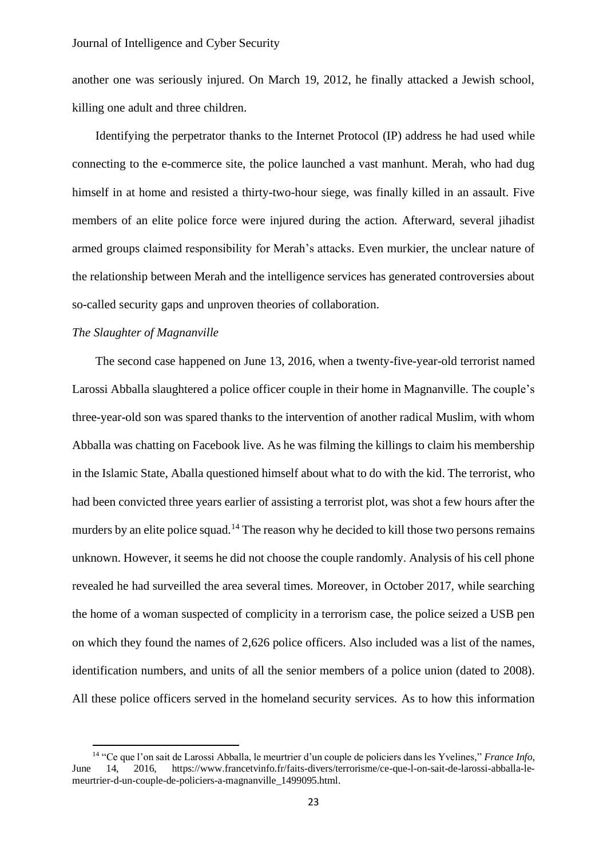another one was seriously injured. On March 19, 2012, he finally attacked a Jewish school, killing one adult and three children.

Identifying the perpetrator thanks to the Internet Protocol (IP) address he had used while connecting to the e-commerce site, the police launched a vast manhunt. Merah, who had dug himself in at home and resisted a thirty-two-hour siege, was finally killed in an assault. Five members of an elite police force were injured during the action. Afterward, several jihadist armed groups claimed responsibility for Merah's attacks. Even murkier, the unclear nature of the relationship between Merah and the intelligence services has generated controversies about so-called security gaps and unproven theories of collaboration.

# *The Slaughter of Magnanville*

The second case happened on June 13, 2016, when a twenty-five-year-old terrorist named Larossi Abballa slaughtered a police officer couple in their home in Magnanville. The couple's three-year-old son was spared thanks to the intervention of another radical Muslim, with whom Abballa was chatting on Facebook live. As he was filming the killings to claim his membership in the Islamic State, Aballa questioned himself about what to do with the kid. The terrorist, who had been convicted three years earlier of assisting a terrorist plot, was shot a few hours after the murders by an elite police squad.<sup>14</sup> The reason why he decided to kill those two persons remains unknown. However, it seems he did not choose the couple randomly. Analysis of his cell phone revealed he had surveilled the area several times. Moreover, in October 2017, while searching the home of a woman suspected of complicity in a terrorism case, the police seized a USB pen on which they found the names of 2,626 police officers. Also included was a list of the names, identification numbers, and units of all the senior members of a police union (dated to 2008). All these police officers served in the homeland security services. As to how this information

<sup>14</sup> "Ce que l'on sait de Larossi Abballa, le meurtrier d'un couple de policiers dans les Yvelines," *France Info*, 14, 2016, https://www.francetvinfo.fr/faits-divers/terrorisme/ce-que-l-on-sait-de-larossi-abballa-lemeurtrier-d-un-couple-de-policiers-a-magnanville\_1499095.html.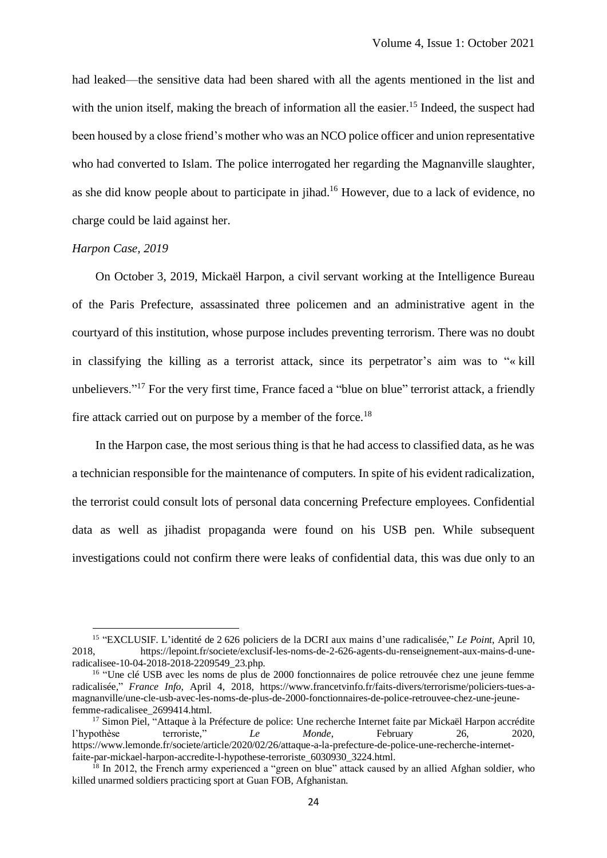had leaked—the sensitive data had been shared with all the agents mentioned in the list and with the union itself, making the breach of information all the easier.<sup>15</sup> Indeed, the suspect had been housed by a close friend's mother who was an NCO police officer and union representative who had converted to Islam. The police interrogated her regarding the Magnanville slaughter, as she did know people about to participate in jihad.<sup>16</sup> However, due to a lack of evidence, no charge could be laid against her.

#### *Harpon Case, 2019*

On October 3, 2019, Mickaël Harpon, a civil servant working at the Intelligence Bureau of the Paris Prefecture, assassinated three policemen and an administrative agent in the courtyard of this institution, whose purpose includes preventing terrorism. There was no doubt in classifying the killing as a terrorist attack, since its perpetrator's aim was to "« kill unbelievers."<sup>17</sup> For the very first time, France faced a "blue on blue" terrorist attack, a friendly fire attack carried out on purpose by a member of the force.<sup>18</sup>

In the Harpon case, the most serious thing is that he had access to classified data, as he was a technician responsible for the maintenance of computers. In spite of his evident radicalization, the terrorist could consult lots of personal data concerning Prefecture employees. Confidential data as well as jihadist propaganda were found on his USB pen. While subsequent investigations could not confirm there were leaks of confidential data, this was due only to an

<sup>&</sup>lt;sup>15</sup> "EXCLUSIF. L'identité de 2 626 policiers de la DCRI aux mains d'une radicalisée," *Le Point*, April 10, 2018, https://lepoint.fr/societe/exclusif-les-noms-de-2-626-agents-du-renseignement-aux-mains-d-uneradicalisee-10-04-2018-2018-2209549\_23.php.

<sup>&</sup>lt;sup>16</sup> "Une clé USB avec les noms de plus de 2000 fonctionnaires de police retrouvée chez une jeune femme radicalisée," *France Info*, April 4, 2018, https://www.francetvinfo.fr/faits-divers/terrorisme/policiers-tues-amagnanville/une-cle-usb-avec-les-noms-de-plus-de-2000-fonctionnaires-de-police-retrouvee-chez-une-jeunefemme-radicalisee\_2699414.html.

<sup>&</sup>lt;sup>17</sup> Simon Piel, "Attaque à la Préfecture de police: Une recherche Internet faite par Mickaël Harpon accrédite<br>
<sup>17</sup> Nypothèse terroriste, "<br> *Le Monde*, February 26, 2020, l'hypothèse terroriste," *Le Monde*, February 26, 2020, https://www.lemonde.fr/societe/article/2020/02/26/attaque-a-la-prefecture-de-police-une-recherche-internetfaite-par-mickael-harpon-accredite-l-hypothese-terroriste\_6030930\_3224.html.

<sup>&</sup>lt;sup>18</sup> In 2012, the French army experienced a "green on blue" attack caused by an allied Afghan soldier, who killed unarmed soldiers practicing sport at Guan FOB, Afghanistan.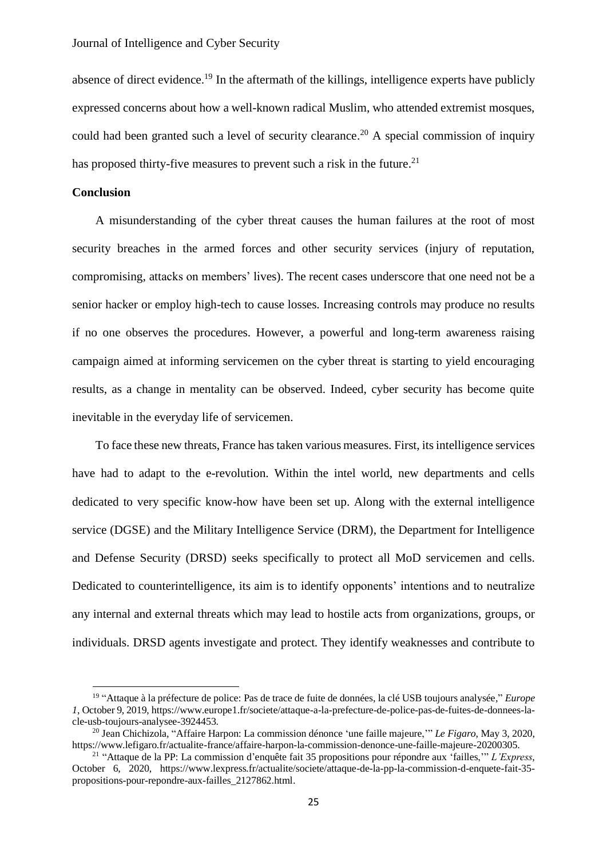absence of direct evidence.<sup>19</sup> In the aftermath of the killings, intelligence experts have publicly expressed concerns about how a well-known radical Muslim, who attended extremist mosques, could had been granted such a level of security clearance.<sup>20</sup> A special commission of inquiry has proposed thirty-five measures to prevent such a risk in the future.<sup>21</sup>

#### **Conclusion**

A misunderstanding of the cyber threat causes the human failures at the root of most security breaches in the armed forces and other security services (injury of reputation, compromising, attacks on members' lives). The recent cases underscore that one need not be a senior hacker or employ high-tech to cause losses. Increasing controls may produce no results if no one observes the procedures. However, a powerful and long-term awareness raising campaign aimed at informing servicemen on the cyber threat is starting to yield encouraging results, as a change in mentality can be observed. Indeed, cyber security has become quite inevitable in the everyday life of servicemen.

To face these new threats, France has taken various measures. First, its intelligence services have had to adapt to the e-revolution. Within the intel world, new departments and cells dedicated to very specific know-how have been set up. Along with the external intelligence service (DGSE) and the Military Intelligence Service (DRM), the Department for Intelligence and Defense Security (DRSD) seeks specifically to protect all MoD servicemen and cells. Dedicated to counterintelligence, its aim is to identify opponents' intentions and to neutralize any internal and external threats which may lead to hostile acts from organizations, groups, or individuals. DRSD agents investigate and protect. They identify weaknesses and contribute to

<sup>19</sup> "Attaque à la préfecture de police: Pas de trace de fuite de données, la clé USB toujours analysée," *Europe 1*, October 9, 2019, https://www.europe1.fr/societe/attaque-a-la-prefecture-de-police-pas-de-fuites-de-donnees-lacle-usb-toujours-analysee-3924453.

<sup>20</sup> Jean Chichizola, "Affaire Harpon: La commission dénonce 'une faille majeure,'" *Le Figaro*, May 3, 2020, https://www.lefigaro.fr/actualite-france/affaire-harpon-la-commission-denonce-une-faille-majeure-20200305.

<sup>21</sup> "Attaque de la PP: La commission d'enquête fait 35 propositions pour répondre aux 'failles,'" *L'Express*, October 6, 2020, https://www.lexpress.fr/actualite/societe/attaque-de-la-pp-la-commission-d-enquete-fait-35 propositions-pour-repondre-aux-failles\_2127862.html.